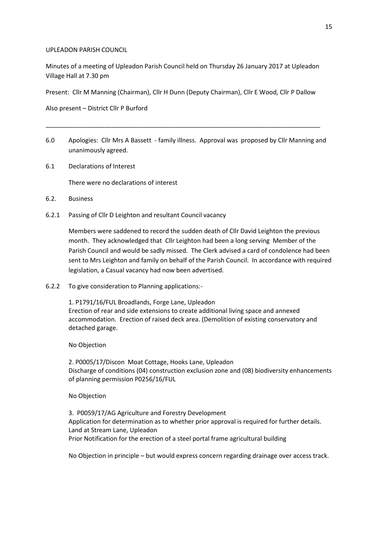## UPLEADON PARISH COUNCIL

Minutes of a meeting of Upleadon Parish Council held on Thursday 26 January 2017 at Upleadon Village Hall at 7.30 pm

Present: Cllr M Manning (Chairman), Cllr H Dunn (Deputy Chairman), Cllr E Wood, Cllr P Dallow

Also present – District Cllr P Burford

6.0 Apologies: Cllr Mrs A Bassett - family illness. Approval was proposed by Cllr Manning and unanimously agreed.

\_\_\_\_\_\_\_\_\_\_\_\_\_\_\_\_\_\_\_\_\_\_\_\_\_\_\_\_\_\_\_\_\_\_\_\_\_\_\_\_\_\_\_\_\_\_\_\_\_\_\_\_\_\_\_\_\_\_\_\_\_\_\_\_\_\_\_\_\_\_\_\_\_\_\_\_\_\_\_

6.1 Declarations of Interest

There were no declarations of interest

- 6.2. Business
- 6.2.1 Passing of Cllr D Leighton and resultant Council vacancy

Members were saddened to record the sudden death of Cllr David Leighton the previous month. They acknowledged that Cllr Leighton had been a long serving Member of the Parish Council and would be sadly missed. The Clerk advised a card of condolence had been sent to Mrs Leighton and family on behalf of the Parish Council. In accordance with required legislation, a Casual vacancy had now been advertised.

6.2.2 To give consideration to Planning applications:-

1. P1791/16/FUL Broadlands, Forge Lane, Upleadon Erection of rear and side extensions to create additional living space and annexed accommodation. Erection of raised deck area. (Demolition of existing conservatory and detached garage.

No Objection

2. P0005/17/Discon Moat Cottage, Hooks Lane, Upleadon Discharge of conditions (04) construction exclusion zone and (08) biodiversity enhancements of planning permission P0256/16/FUL

## No Objection

3. P0059/17/AG Agriculture and Forestry Development Application for determination as to whether prior approval is required for further details. Land at Stream Lane, Upleadon Prior Notification for the erection of a steel portal frame agricultural building

No Objection in principle – but would express concern regarding drainage over access track.